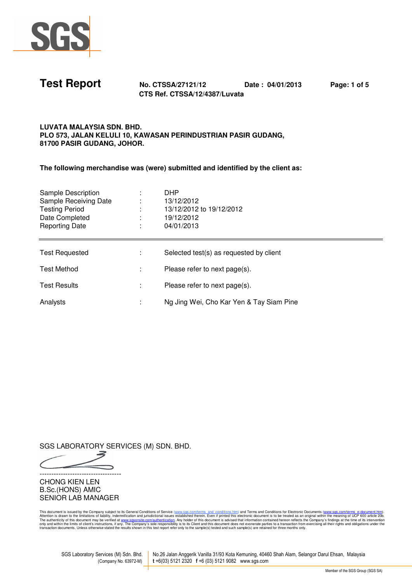



**Test Report No. CTSSA/27121/12 Date : 04/01/2013 Page: 1 of 5 CTS Ref. CTSSA/12/4387/Luvata** 

## **LUVATA MALAYSIA SDN. BHD. PLO 573, JALAN KELULI 10, KAWASAN PERINDUSTRIAN PASIR GUDANG, 81700 PASIR GUDANG, JOHOR.**

**The following merchandise was (were) submitted and identified by the client as:** 

| Sample Description<br>Sample Receiving Date<br>Testing Period<br>Date Completed<br><b>Reporting Date</b> | <b>DHP</b><br>13/12/2012<br>13/12/2012 to 19/12/2012<br>19/12/2012<br>04/01/2013 |
|----------------------------------------------------------------------------------------------------------|----------------------------------------------------------------------------------|
| <b>Test Requested</b>                                                                                    | Selected test(s) as requested by client                                          |
| Test Method                                                                                              | Please refer to next page(s).                                                    |
| <b>Test Results</b>                                                                                      | Please refer to next page(s).                                                    |
| Analysts                                                                                                 | Ng Jing Wei, Cho Kar Yen & Tay Siam Pine                                         |

SGS LABORATORY SERVICES (M) SDN. BHD.

-----------------------------------

CHONG KIEN LEN B.Sc.(HONS) AMIC SENIOR LAB MANAGER

This document is issued by the Company subject to its General Conditions of Service (<u>www.sess.com<sup>pl</sup>erns and conditions filesting and Conditions (including the Company). Attention is drawn to the term is the company's fi</u>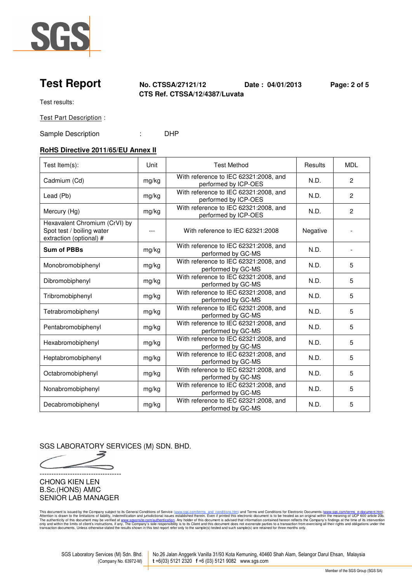

**Test Report No. CTSSA/27121/12 Date : 04/01/2013 Page: 2 of 5 CTS Ref. CTSSA/12/4387/Luvata** 

Test results:

Test Part Description :

Sample Description : DHP

# **RoHS Directive 2011/65/EU Annex II**

| Test Item(s):                                                                         | Unit  | <b>Test Method</b>                                            | Results  | <b>MDL</b>     |
|---------------------------------------------------------------------------------------|-------|---------------------------------------------------------------|----------|----------------|
| Cadmium (Cd)                                                                          | mg/kg | With reference to IEC 62321:2008, and<br>performed by ICP-OES | N.D.     | $\overline{2}$ |
| Lead (Pb)                                                                             | mg/kg | With reference to IEC 62321:2008, and<br>performed by ICP-OES | N.D.     | $\overline{2}$ |
| Mercury (Hg)                                                                          | mg/kg | With reference to IEC 62321:2008, and<br>performed by ICP-OES | N.D.     | $\overline{2}$ |
| Hexavalent Chromium (CrVI) by<br>Spot test / boiling water<br>extraction (optional) # | $---$ | With reference to IEC 62321:2008                              | Negative |                |
| <b>Sum of PBBs</b>                                                                    | mg/kg | With reference to IEC 62321:2008, and<br>performed by GC-MS   | N.D.     |                |
| Monobromobiphenyl                                                                     | mg/kg | With reference to IEC 62321:2008, and<br>performed by GC-MS   | N.D.     | 5              |
| Dibromobiphenyl                                                                       | mg/kg | With reference to IEC 62321:2008, and<br>performed by GC-MS   | N.D.     | 5              |
| Tribromobiphenyl                                                                      | mg/kg | With reference to IEC 62321:2008, and<br>performed by GC-MS   | N.D.     | 5              |
| Tetrabromobiphenyl                                                                    | mg/kg | With reference to IEC 62321:2008, and<br>performed by GC-MS   | N.D.     | 5              |
| Pentabromobiphenyl                                                                    | mg/kg | With reference to IEC 62321:2008, and<br>performed by GC-MS   | N.D.     | 5              |
| Hexabromobiphenyl                                                                     | mg/kg | With reference to IEC 62321:2008, and<br>performed by GC-MS   | N.D.     | 5              |
| Heptabromobiphenyl                                                                    | mg/kg | With reference to IEC 62321:2008, and<br>performed by GC-MS   | N.D.     | 5              |
| Octabromobiphenyl                                                                     | mg/kg | With reference to IEC 62321:2008, and<br>performed by GC-MS   | N.D.     | 5              |
| Nonabromobiphenyl                                                                     | mg/kg | With reference to IEC 62321:2008, and<br>performed by GC-MS   | N.D.     | 5              |
| Decabromobiphenyl                                                                     | mg/kg | With reference to IEC 62321:2008, and<br>performed by GC-MS   | N.D.     | 5              |

SGS LABORATORY SERVICES (M) SDN. BHD.

┑ -----------------------------------

CHONG KIEN LEN B.Sc.(HONS) AMIC SENIOR LAB MANAGER

This document is issued by the Company subject to its General Conditions of Service (<u>www.sess.com<sup>pl</sup>erns and conditions filesting and Conditions (including the Company). Attention is drawn to the term is the company's fi</u>

SGS Laboratory Services (M) Sdn. Bhd. No.26 Jalan Anggerik Vanilla 31/93 Kota Kemuning, 40460 Shah Alam, Selangor Darul Ehsan, Malaysia (Company No. 63972-M) **t** +6(03) 5121 2320 **f** +6 (03) 5121 9082 www.sgs.com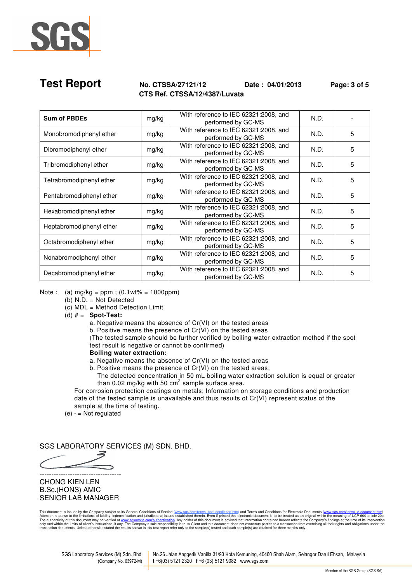

## **Test Report No. CTSSA/27121/12 Date : 04/01/2013 Page: 3 of 5 CTS Ref. CTSSA/12/4387/Luvata**

| <b>Sum of PBDEs</b>      | mg/kg | With reference to IEC 62321:2008, and<br>performed by GC-MS | N.D. |   |
|--------------------------|-------|-------------------------------------------------------------|------|---|
| Monobromodiphenyl ether  | mg/kg | With reference to IEC 62321:2008, and<br>performed by GC-MS | N.D. | 5 |
| Dibromodiphenyl ether    | mg/kg | With reference to IEC 62321:2008, and<br>performed by GC-MS | N.D. | 5 |
| Tribromodiphenyl ether   | mg/kg | With reference to IEC 62321:2008, and<br>performed by GC-MS | N.D. | 5 |
| Tetrabromodiphenyl ether | mg/kg | With reference to IEC 62321:2008, and<br>performed by GC-MS | N.D. | 5 |
| Pentabromodiphenyl ether | mg/kg | With reference to IEC 62321:2008, and<br>performed by GC-MS | N.D. | 5 |
| Hexabromodiphenyl ether  | mg/kg | With reference to IEC 62321:2008, and<br>performed by GC-MS | N.D. | 5 |
| Heptabromodiphenyl ether | mg/kg | With reference to IEC 62321:2008, and<br>performed by GC-MS | N.D. | 5 |
| Octabromodiphenyl ether  | mg/kg | With reference to IEC 62321:2008, and<br>performed by GC-MS | N.D. | 5 |
| Nonabromodiphenyl ether  | mg/kg | With reference to IEC 62321:2008, and<br>performed by GC-MS | N.D. | 5 |
| Decabromodiphenyl ether  | mg/kg | With reference to IEC 62321:2008, and<br>performed by GC-MS | N.D. | 5 |

Note : (a)  $mg/kg = ppm$  ; (0.1wt% = 1000ppm)

- (b) N.D. = Not Detected
- $(c)$  MDL = Method Detection Limit
- (d) # = **Spot-Test:**

a. Negative means the absence of Cr(VI) on the tested areas

b. Positive means the presence of Cr(VI) on the tested areas

 (The tested sample should be further verified by boiling-water-extraction method if the spot test result is negative or cannot be confirmed)

## **Boiling water extraction:**

a. Negative means the absence of Cr(VI) on the tested areas

b. Positive means the presence of Cr(VI) on the tested areas;

 The detected concentration in 50 mL boiling water extraction solution is equal or greater than 0.02 mg/kg with 50  $\text{cm}^2$  sample surface area.

 For corrosion protection coatings on metals: Information on storage conditions and production date of the tested sample is unavailable and thus results of Cr(VI) represent status of the sample at the time of testing.

 $(e) -$  = Not regulated

SGS LABORATORY SERVICES (M) SDN. BHD.

-----------------------------------

## CHONG KIEN LEN B.Sc.(HONS) AMIC SENIOR LAB MANAGER

This document is issued by the Company subject to its General Conditions of Service (<u>www.sess.com<sup>pl</sup>erns and conditions filesting and Conditions (including the Company). Attention is drawn to the term is the company's fi</u>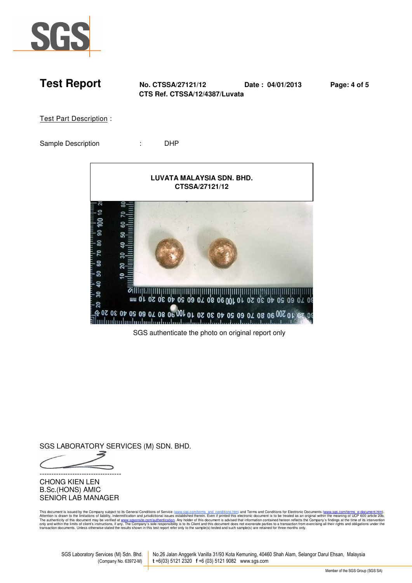

**Test Report No. CTSSA/27121/12 Date : 04/01/2013 Page: 4 of 5 CTS Ref. CTSSA/12/4387/Luvata** 

Test Part Description :

Sample Description : DHP



SGS authenticate the photo on original report only

SGS LABORATORY SERVICES (M) SDN. BHD.

-----------------------------------

CHONG KIEN LEN B.Sc.(HONS) AMIC SENIOR LAB MANAGER

This document is issued by the Company subject to its General Conditions of Service (<u>www.sess.com<sup>pl</sup>erns and conditions filesting and Conditions (including the Company). Attention is drawn to the term is the company's fi</u>

SGS Laboratory Services (M) Sdn. Bhd. No.26 Jalan Anggerik Vanilla 31/93 Kota Kemuning, 40460 Shah Alam, Selangor Darul Ehsan, Malaysia (Company No. 63972-M) **t** +6(03) 5121 2320 **f** +6 (03) 5121 9082 www.sgs.com